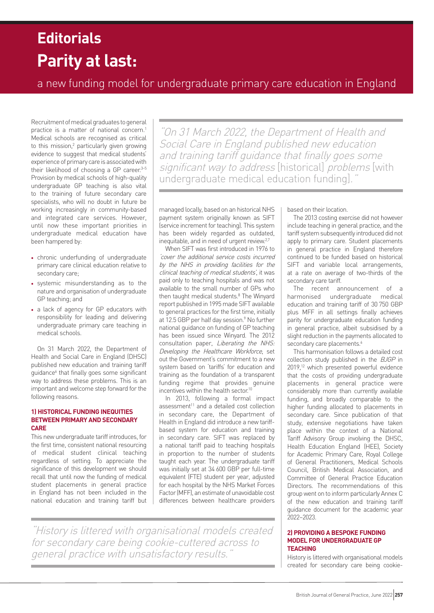# **Parity at last: Editorials**

a new funding model for undergraduate primary care education in England

Recruitment of medical graduates to general practice is a matter of national concern.<sup>1</sup> Medical schools are recognised as critical to this mission,<sup>2</sup> particularly given growing evidence to suggest that medical students' experience of primary care is associated with their likelihood of choosing a GP career.<sup>3-5</sup> Provision by medical schools of high-quality undergraduate GP teaching is also vital to the training of future secondary care specialists, who will no doubt in future be working increasingly in community-based and integrated care services. However, until now these important priorities in undergraduate medical education have been hampered by:

- chronic underfunding of undergraduate primary care clinical education relative to secondary care;
- systemic misunderstanding as to the nature and organisation of undergraduate GP teaching; and
- a lack of agency for GP educators with responsibility for leading and delivering undergraduate primary care teaching in medical schools.

On 31 March 2022, the Department of Health and Social Care in England (DHSC) published new education and training tariff guidance<sup>6</sup> that finally goes some significant way to address these problems. This is an important and welcome step forward for the following reasons.

# **1) HISTORICAL FUNDING INEQUITIES BETWEEN PRIMARY AND SECONDARY CARE**

This new undergraduate tariff introduces, for the first time, consistent national resourcing of medical student clinical teaching regardless of setting. To appreciate the significance of this development we should recall that until now the funding of medical student placements in general practice in England has not been included in the national education and training tariff but

"On 31 March 2022, the Department of Health and Social Care in England published new education and training tariff guidance that finally goes some significant way to address [historical] problems [with undergraduate medical education funding].

managed locally, based on an historical NHS payment system originally known as SIFT (service increment for teaching). This system has been widely regarded as outdated, inequitable, and in need of urgent review.2,7

When SIFT was first introduced in 1976 to 'cover the additional service costs incurred by the NHS in providing facilities for the clinical teaching of medical students', it was paid only to teaching hospitals and was not available to the small number of GPs who then taught medical students.<sup>8</sup> The Winyard report published in 1995 made SIFT available to general practices for the first time, initially at 12.5 GBP per half day session.<sup>9</sup> No further national guidance on funding of GP teaching has been issued since Winyard. The 2012 consultation paper, Liberating the NHS: Developing the Healthcare Workforce, set out the Government's commitment to a new system based on 'tariffs' for education and training as the foundation of a transparent funding regime that provides genuine incentives within the health sector.<sup>10</sup>

In 2013, following a formal impact  $assesment<sup>11</sup>$  and a detailed cost collection in secondary care, the Department of Health in England did introduce a new tariffbased system for education and training in secondary care. SIFT was replaced by a national tariff paid to teaching hospitals in proportion to the number of students taught each year. The undergraduate tariff was initially set at 34 600 GBP per full-time equivalent (FTE) student per year, adjusted for each hospital by the NHS Market Forces Factor (MFF), an estimate of unavoidable cost differences between healthcare providers

based on their location.

The 2013 costing exercise did not however include teaching in general practice, and the tariff system subsequently introduced did not apply to primary care. Student placements in general practice in England therefore continued to be funded based on historical SIFT and variable local arrangements, at a rate on average of two-thirds of the secondary care tariff.

The recent announcement of a harmonised undergraduate medical education and training tariff of 30 750 GBP plus MFF in all settings finally achieves parity for undergraduate education funding in general practice, albeit subsidised by a slight reduction in the payments allocated to secondary care placements.<sup>6</sup>

This harmonisation follows a detailed cost collection study published in the BJGP in 2019,<sup>12</sup> which presented powerful evidence that the costs of providing undergraduate placements in general practice were considerably more than currently available funding, and broadly comparable to the higher funding allocated to placements in secondary care. Since publication of that study, extensive negotiations have taken place within the context of a National Tariff Advisory Group involving the DHSC, Health Education England (HEE), Society for Academic Primary Care, Royal College of General Practitioners, Medical Schools Council, British Medical Association, and Committee of General Practice Education Directors. The recommendations of this group went on to inform particularly Annex C of the new education and training tariff guidance document for the academic year 2022–2023.

# **2) PROVIDING A BESPOKE FUNDING MODEL FOR UNDERGRADUATE GP TEACHING**

History is littered with organisational models created for secondary care being cookie-

"History is littered with organisational models created for secondary care being cookie-cuttered across to general practice with unsatisfactory results."